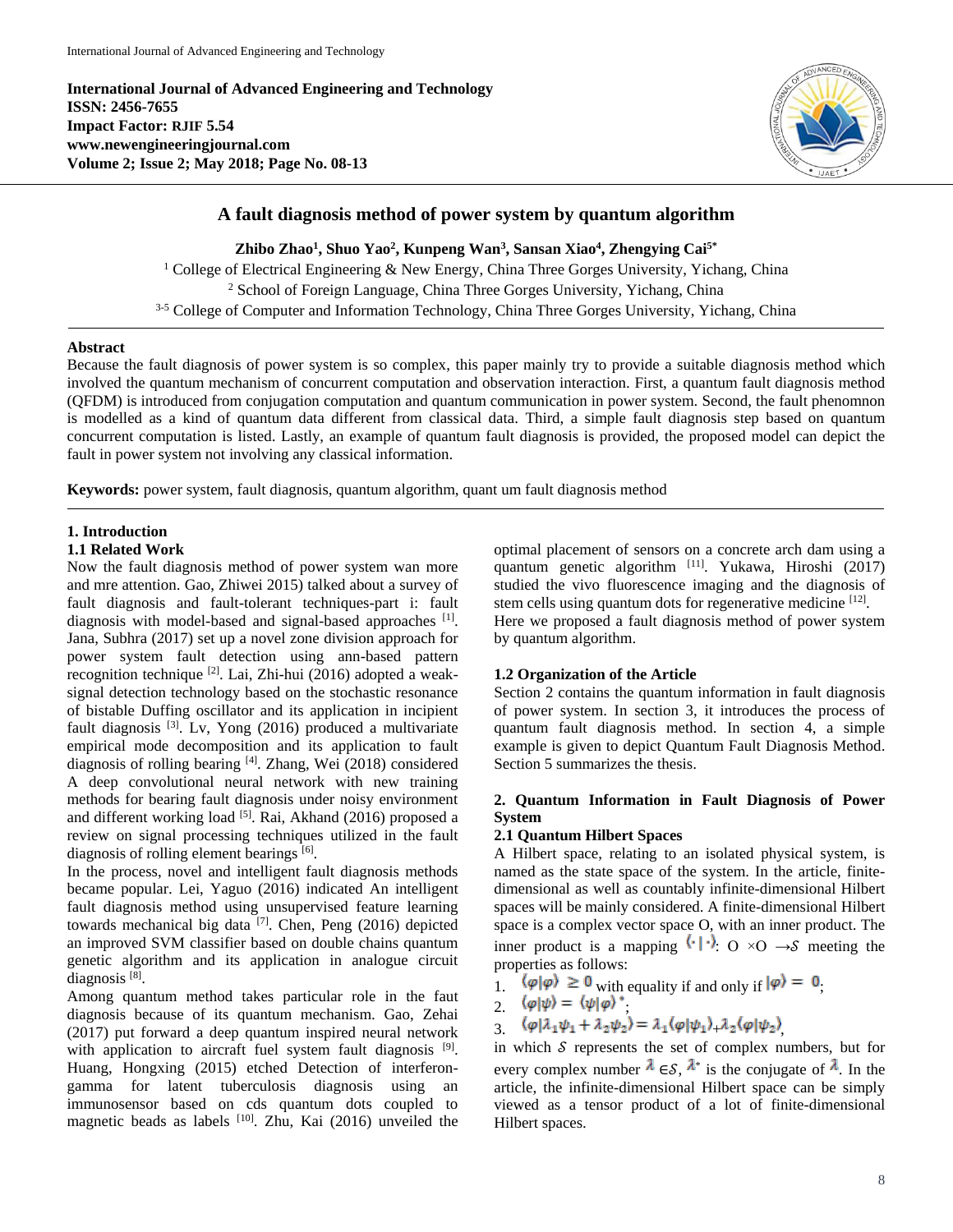**International Journal of Advanced Engineering and Technology ISSN: 2456-7655 Impact Factor: RJIF 5.54 www.newengineeringjournal.com Volume 2; Issue 2; May 2018; Page No. 08-13**



# **A fault diagnosis method of power system by quantum algorithm**

**Zhibo Zhao<sup>1</sup> , Shuo Yao<sup>2</sup> , Kunpeng Wan<sup>3</sup> , Sansan Xiao<sup>4</sup> , Zhengying Cai5\***

<sup>1</sup> College of Electrical Engineering & New Energy, China Three Gorges University, Yichang, China <sup>2</sup> School of Foreign Language, China Three Gorges University, Yichang, China <sup>3-5</sup> College of Computer and Information Technology, China Three Gorges University, Yichang, China

### **Abstract**

Because the fault diagnosis of power system is so complex, this paper mainly try to provide a suitable diagnosis method which involved the quantum mechanism of concurrent computation and observation interaction. First, a quantum fault diagnosis method (QFDM) is introduced from conjugation computation and quantum communication in power system. Second, the fault phenomnon is modelled as a kind of quantum data different from classical data. Third, a simple fault diagnosis step based on quantum concurrent computation is listed. Lastly, an example of quantum fault diagnosis is provided, the proposed model can depict the fault in power system not involving any classical information.

**Keywords:** power system, fault diagnosis, quantum algorithm, quant um fault diagnosis method

### **1. Introduction**

## **1.1 Related Work**

Now the fault diagnosis method of power system wan more and mre attention. Gao, Zhiwei 2015) talked about a survey of fault diagnosis and fault-tolerant techniques-part i: fault diagnosis with model-based and signal-based approaches [1]. Jana, Subhra (2017) set up a novel zone division approach for power system fault detection using ann-based pattern recognition technique <a>[2]</a>. Lai, Zhi-hui (2016) adopted a weaksignal detection technology based on the stochastic resonance of bistable Duffing oscillator and its application in incipient fault diagnosis<sup>[3]</sup>. Lv, Yong (2016) produced a multivariate empirical mode decomposition and its application to fault diagnosis of rolling bearing [4]. Zhang, Wei (2018) considered A deep convolutional neural network with new training methods for bearing fault diagnosis under noisy environment and different working load [5]. Rai, Akhand (2016) proposed a review on signal processing techniques utilized in the fault diagnosis of rolling element bearings [6].

In the process, novel and intelligent fault diagnosis methods became popular. Lei, Yaguo (2016) indicated An intelligent fault diagnosis method using unsupervised feature learning towards mechanical big data <a>[7]</a>. Chen, Peng (2016) depicted an improved SVM classifier based on double chains quantum genetic algorithm and its application in analogue circuit diagnosis<sup>[8]</sup>.

Among quantum method takes particular role in the faut diagnosis because of its quantum mechanism. Gao, Zehai (2017) put forward a deep quantum inspired neural network with application to aircraft fuel system fault diagnosis [9]. Huang, Hongxing (2015) etched Detection of interferongamma for latent tuberculosis diagnosis using an immunosensor based on cds quantum dots coupled to magnetic beads as labels  $[10]$ . Zhu, Kai (2016) unveiled the

optimal placement of sensors on a concrete arch dam using a quantum genetic algorithm [11] . Yukawa, Hiroshi (2017) studied the vivo fluorescence imaging and the diagnosis of stem cells using quantum dots for regenerative medicine [12].

Here we proposed a fault diagnosis method of power system by quantum algorithm.

## **1.2 Organization of the Article**

Section 2 contains the quantum information in fault diagnosis of power system. In section 3, it introduces the process of quantum fault diagnosis method. In section 4, a simple example is given to depict Quantum Fault Diagnosis Method. Section 5 summarizes the thesis.

## **2. Quantum Information in Fault Diagnosis of Power System**

## **2.1 Quantum Hilbert Spaces**

A Hilbert space, relating to an isolated physical system, is named as the state space of the system. In the article, finitedimensional as well as countably infinite-dimensional Hilbert spaces will be mainly considered. A finite-dimensional Hilbert space is a complex vector space O, with an inner product. The inner product is a mapping  $\langle \cdot | \cdot \rangle$  O  $\times$ O  $\rightarrow$  meeting the properties as follows:

1.  $\langle \varphi | \varphi \rangle \ge 0$  with equality if and only if  $| \varphi \rangle = 0$ ;

2. 
$$
\langle \varphi | \psi \rangle = \langle \psi | \varphi \rangle^*
$$

3.  $\frac{(\varphi_1\lambda_1\psi_1 + \lambda_2\psi_2)}{(\varphi_1\psi_1 + \lambda_2\psi_2)} = \frac{\lambda_1(\varphi_1\psi_1)}{(\varphi_1\psi_1 + \lambda_2\psi_2)}$ 

in which  $S$  represents the set of complex numbers, but for every complex number  $\lambda \in S$ ,  $\lambda^*$  is the conjugate of  $\lambda$ . In the article, the infinite-dimensional Hilbert space can be simply viewed as a tensor product of a lot of finite-dimensional Hilbert spaces.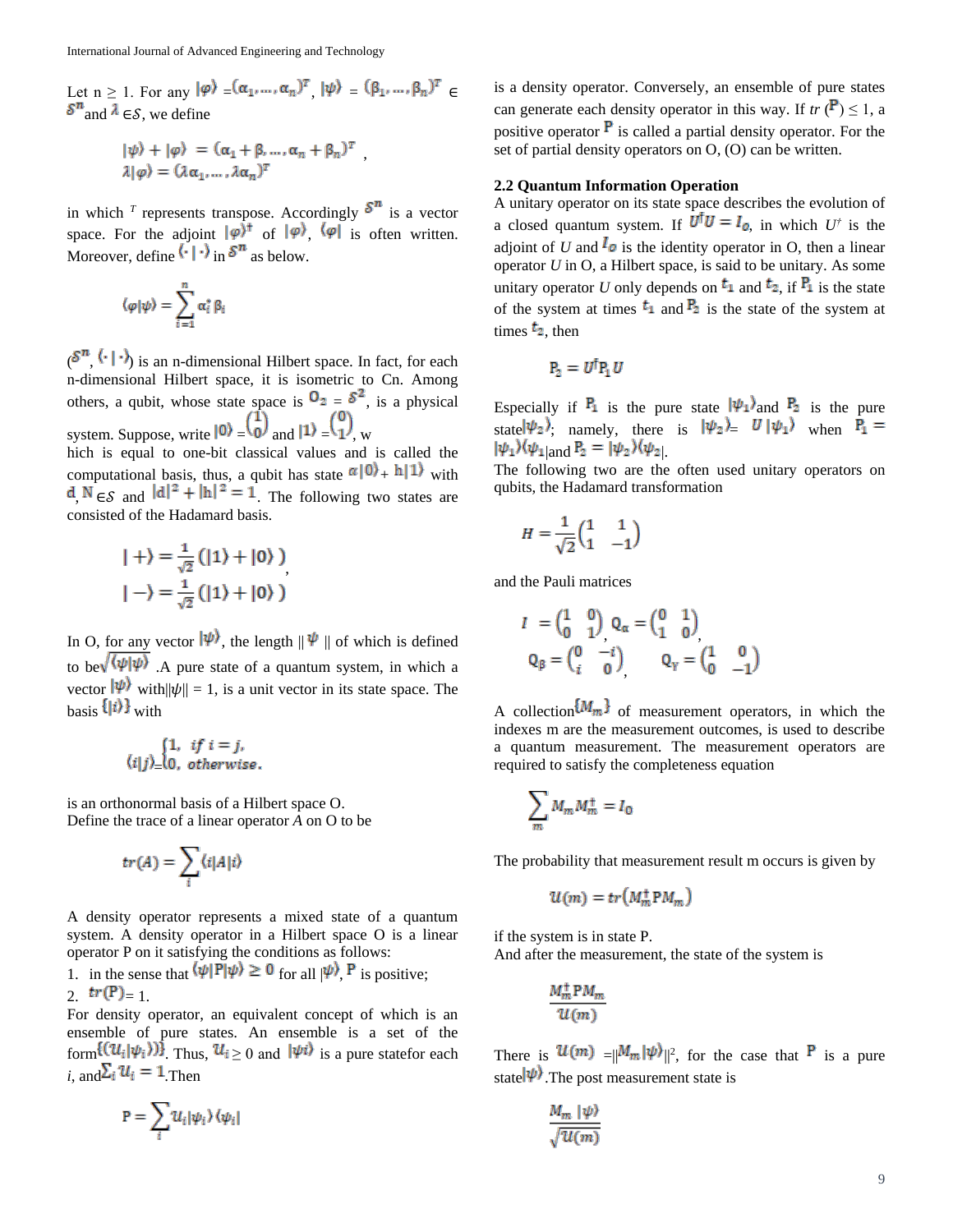Let  $n \ge 1$ . For any  $|\varphi\rangle = (\alpha_1, ..., \alpha_n)^T$ ,  $|\psi\rangle = (\beta_1, ..., \beta_n)^T \in$  $\delta^n$  and  $\lambda \in S$ , we define

,

$$
|\psi\rangle + |\varphi\rangle = (\alpha_1 + \beta, ..., \alpha_n + \beta_n)^T
$$
  

$$
\lambda|\varphi\rangle = (\lambda \alpha_1, ..., \lambda \alpha_n)^T
$$

in which  $^T$  represents transpose. Accordingly  $\mathcal{S}^n$  is a vector space. For the adjoint  $|\varphi\rangle^{\dagger}$  of  $|\varphi\rangle$ ,  $\langle \varphi|$  is often written. Moreover, define  $\langle \cdot | \cdot \rangle$  in  $\delta^n$  as below.

$$
\langle \varphi|\psi\rangle = \sum_{i=1}^n \alpha_i^* \, \beta_i
$$

 $(S^n, \langle \cdot | \cdot \rangle)$  is an n-dimensional Hilbert space. In fact, for each n-dimensional Hilbert space, it is isometric to Cn. Among others, a qubit, whose state space is  $\mathbf{U}_2 = \mathbf{\delta}^2$ , is a physical system. Suppose, write  $\vert 0 \rangle = \vert 0 \rangle$  and  $\vert 1 \rangle = \vert 1 \rangle$ , w

hich is equal to one-bit classical values and is called the computational basis, thus, a qubit has state  $\alpha |0\rangle_+$  h|1) with  $d \overrightarrow{N}_{\in \mathcal{S}}$  and  $|d|^2 + |h|^2 = 1$ . The following two states are consisted of the Hadamard basis.

$$
| + \rangle = \frac{1}{\sqrt{2}} (|1\rangle + |0\rangle)
$$

$$
| - \rangle = \frac{1}{\sqrt{2}} (|1\rangle + |0\rangle)
$$

In O, for any vector  $|\psi\rangle$ , the length  $||\psi||$  of which is defined to be  $\sqrt{\langle \psi | \psi \rangle}$ . A pure state of a quantum system, in which a vector  $|\psi\rangle$  with  $|\psi| = 1$ , is a unit vector in its state space. The  $_{\text{basis}} \{ |i \rangle \}$  with

$$
\begin{cases} 1, & if i = j, \\ (i|j) = 0, & otherwise \end{cases}
$$

is an orthonormal basis of a Hilbert space O. Define the trace of a linear operator *A* on O to be

$$
tr(A) = \sum_i \langle i | A | i \rangle
$$

A density operator represents a mixed state of a quantum system. A density operator in a Hilbert space O is a linear operator P on it satisfying the conditions as follows:

1. in the sense that  $\langle \psi | P | \psi \rangle \ge 0$  for all  $|\psi\rangle$ , P is positive; 2.  $tr(P) = 1$ .

For density operator, an equivalent concept of which is an ensemble of pure states. An ensemble is a set of the form  $\{(u_i|\psi_i)\}\$ . Thus,  $u_i \geq 0$  and  $|\psi_i\rangle$  is a pure statefor each  $i_{i}$  and  $\Sigma_{i} u_{i} = 1$  Then

$$
\mathbf{P} = \sum_i u_i |\psi_i\rangle \langle \psi_i|
$$

is a density operator. Conversely, an ensemble of pure states can generate each density operator in this way. If  $tr(\mathbf{P}) \leq 1$ , a positive operator  $\overline{P}$  is called a partial density operator. For the set of partial density operators on O, (O) can be written.

## **2.2 Quantum Information Operation**

A unitary operator on its state space describes the evolution of a closed quantum system. If  $U^{\dagger}U = I_o$ , in which  $U^{\dagger}$  is the adjoint of *U* and  $\mathbf{I}_0$  is the identity operator in O, then a linear operator *U* in O, a Hilbert space, is said to be unitary. As some unitary operator *U* only depends on  $t_1$  and  $t_2$ , if  $\overline{P_1}$  is the state of the system at times  $t_1$  and  $\overline{P_2}$  is the state of the system at times  $t_2$ , then

$$
\mathrm{P}_2 = U^{\dagger} \mathrm{P}_1 U
$$

Especially if  $P_1$  is the pure state  $|\psi_1\rangle$  and  $P_2$  is the pure state  $|\psi_2\rangle$ , namely, there is  $|\psi_2\rangle = U |\psi_1\rangle$  when  $P_1 =$  $|\psi_1\rangle\langle\psi_1|_{\text{and}} P_2 = |\psi_2\rangle\langle\psi_2|$ 

The following two are the often used unitary operators on qubits, the Hadamard transformation

$$
H = \frac{1}{\sqrt{2}} \begin{pmatrix} 1 & 1 \\ 1 & -1 \end{pmatrix}
$$

and the Pauli matrices

$$
I = \begin{pmatrix} 1 & 0 \\ 0 & 1 \end{pmatrix} Q_{\alpha} = \begin{pmatrix} 0 & 1 \\ 1 & 0 \end{pmatrix}
$$
  

$$
Q_{\beta} = \begin{pmatrix} 0 & -i \\ i & 0 \end{pmatrix} \qquad Q_{\gamma} = \begin{pmatrix} 1 & 0 \\ 0 & -1 \end{pmatrix}
$$

A collection  $\{M_m\}$  of measurement operators, in which the indexes m are the measurement outcomes, is used to describe a quantum measurement. The measurement operators are required to satisfy the completeness equation

$$
\sum_m M_m M_m^+ = I_0
$$

The probability that measurement result m occurs is given by

$$
u(m) = tr(M_m^+ P M_m)
$$

if the system is in state P.

And after the measurement, the state of the system is

$$
\frac{M_m^+ P M_m}{\mathcal{U}(m)}
$$

There is  $\mathcal{U}(m) = ||M_m|\psi\rangle||^2$ , for the case that P is a pure state  $|\psi\rangle$ . The post measurement state is

$$
\frac{M_m |\psi\rangle}{\sqrt{u(m)}}
$$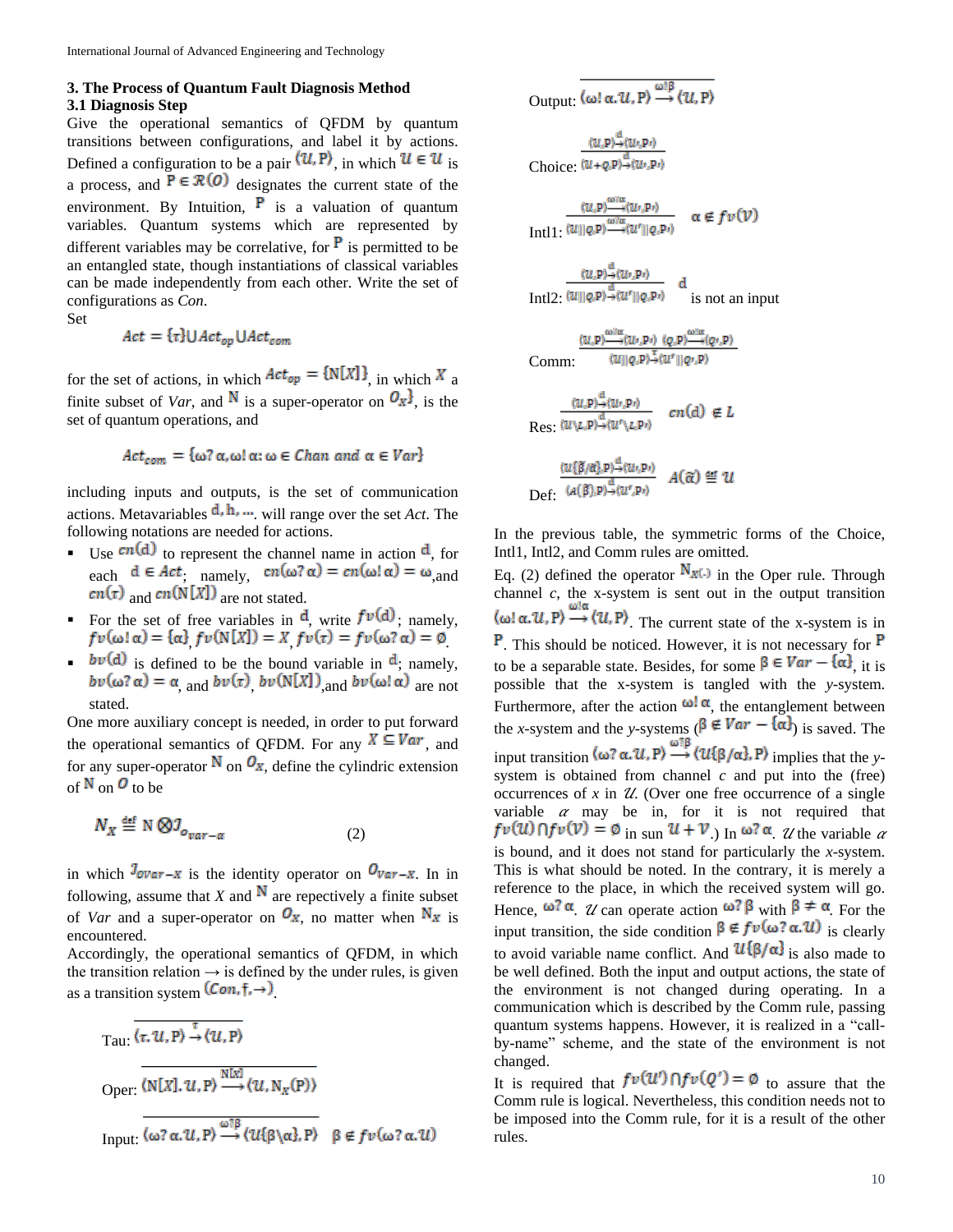### **3. The Process of Quantum Fault Diagnosis Method 3.1 Diagnosis Step**

Give the operational semantics of QFDM by quantum transitions between configurations, and label it by actions. Defined a configuration to be a pair  $(U, P)$ , in which  $U \in U$  is a process, and  $P \in \mathcal{R}(0)$  designates the current state of the environment. By Intuition,  $\overline{P}$  is a valuation of quantum variables. Quantum systems which are represented by different variables may be correlative, for  $\overline{P}$  is permitted to be an entangled state, though instantiations of classical variables can be made independently from each other. Write the set of configurations as *Con*.

Set

$$
Act = \{\tau\} \cup Act_{op} \cup Act_{com}
$$

for the set of actions, in which  $Act_{op} = \{N[X]\}\)$ , in which X a finite subset of *Var*, and  $\bf{N}$  is a super-operator on  $\bf{O}_x$ , is the set of quantum operations, and

$$
Act_{com} = {\omega? \alpha, \omega! \alpha: \omega \in Chan \ and \ \alpha \in Var\}
$$

including inputs and outputs, is the set of communication actions. Metavariables  $\mathbf{d}, \mathbf{h}, \dots$ , will range over the set *Act*. The following notations are needed for actions.

- Use  $\mathsf{cn}(d)$  to represent the channel name in action  $d$ , for each  $d \in Act$ , namely,  $cn(\omega, \alpha) = cn(\omega, \alpha) = \omega$  and  $cn(\tau)$  and  $cn(N[X])$  are not stated.
- For the set of free variables in  $d$ , write  $f\nu(d)$ ; namely,  $f v(\omega; \alpha) = {\alpha} f v(N[X]) = X f v(\tau) = f v(\omega; \alpha) = \emptyset$
- **b** $\nu$ (d) is defined to be the bound variable in  $\alpha$ ; namely, , and  $bv(\tau)$ ,  $bv(\mathsf{N}[X])$ , and  $bv(\omega; \alpha)$  are not stated.

One more auxiliary concept is needed, in order to put forward the operational semantics of QFDM. For any  $X \subseteq Var$ , and for any super-operator  $\bf{N}$  on  $\bf{O}_x$ , define the cylindric extension of  $N$  on  $\boldsymbol{0}$  to be

$$
N_X \stackrel{\text{def}}{=} \mathbb{N} \bigotimes \mathcal{I}_{\sigma_{var-\alpha}} \tag{2}
$$

in which  $\int v \, dv \, dx - x$  is the identity operator on  $\int v \, dx - x$ . In in following, assume that *X* and  $\bf{N}$  are repectively a finite subset of *Var* and a super-operator on  $O_x$ , no matter when  $N_x$  is encountered.

Accordingly, the operational semantics of QFDM, in which the transition relation  $\rightarrow$  is defined by the under rules, is given as a transition system  $(Con, \dagger, \rightarrow)$ .

Tau: 
$$
\overline{\langle \tau, \mathcal{U}, P \rangle} \stackrel{\tau}{\rightarrow} \langle \mathcal{U}, P \rangle
$$
  
Oper:  $\overline{\langle N[X], \mathcal{U}, P \rangle} \stackrel{N[X]}{\longrightarrow} \langle \mathcal{U}, N_X(P) \rangle$   
Input:  $\overline{\langle \omega, \alpha, \mathcal{U}, P \rangle} \stackrel{\omega, \beta}{\longrightarrow} \langle \mathcal{U} \{\beta \setminus \alpha\}, P \rangle$  β ∈  $f \nu(\omega, \alpha, \mathcal{U})$ 

Output: 
$$
\langle \omega, \alpha, u, P \rangle \xrightarrow{\omega, \beta} \langle u, P \rangle
$$

$$
\frac{\langle u, \mathbf{p} \rangle \stackrel{\text{d}}{\rightarrow} \langle u, \mathbf{p} \rangle}{\langle u, \mathbf{p} \rangle \stackrel{\text{d}}{\rightarrow} \langle u, \mathbf{p} \rangle \stackrel{\text{d}}{\rightarrow} \langle u, \mathbf{p} \rangle}
$$

Choice:  $(U+Q,P)$ 

$$
\text{Int11}: \frac{\langle u, \mathbf{p} \rangle^{\omega/\alpha}_{\text{out}}(u, \mathbf{p}_t)}{\langle u \mid |\mathbf{q}, \mathbf{p} \rangle^{\frac{\omega^2/\alpha}{\alpha^2}} \langle u' \mid |\mathbf{q}, \mathbf{p}_t \rangle} \quad \alpha \notin fv(\mathcal{V})
$$

$$
\frac{\langle u, \mathbf{p} \rangle \stackrel{d}{\rightarrow} \langle u, \mathbf{p} \rangle}{\text{Intl2:}} \frac{\langle u, \mathbf{p} \rangle \stackrel{d}{\rightarrow} \langle u', \mathbf{p} \rangle}{\langle u' | q, \mathbf{p} \rangle \stackrel{d}{\rightarrow} \langle u' | | q, \mathbf{p} \rangle} \quad \text{d}_{\text{is not an input}}
$$

$$
\text{Comm:} \frac{\langle \mathcal{U}, \mathbf{p} \rangle^{\omega \rangle \alpha} \langle \mathcal{U}, \mathbf{p}_I \rangle \ \langle \mathbf{q}, \mathbf{p} \rangle^{\underline{\omega} \rangle \alpha} \langle \mathbf{q}_I, \mathbf{p} \rangle}{\langle \mathcal{U} | |\mathbf{q}, \mathbf{p} \rangle^{\underline{\tau}} \langle \mathcal{U}' | |\mathbf{q}_I, \mathbf{p} \rangle}
$$

$$
\operatorname{Res:} \frac{\langle u, \mathbf{p} \rangle^{\text{d}}_{\to \langle \mathcal{U}', \mathbf{p} \rangle}}{\langle u \rangle_{\mathcal{L}, \mathbf{p} \rangle}^{\text{d}} \langle u' \rangle_{\mathcal{L}, \mathbf{p} \gamma}} \quad cn(\mathbf{d}) \notin L
$$

$$
\det_{\text{Def}:} \frac{\langle u(\tilde{\beta}/\tilde{\alpha}), p \rangle^{\alpha} \langle u, p \rangle}{\langle a(\tilde{\beta}), p \rangle^{\alpha} \langle u', p \rangle} \quad A(\tilde{\alpha}) \cong \mathcal{U}
$$

In the previous table, the symmetric forms of the Choice, Intl1, Intl2, and Comm rules are omitted.

Eq. (2) defined the operator  $\mathbf{N}(\cdot)$  in the Oper rule. Through channel *c*, the x-system is sent out in the output transition  $\langle \omega | \alpha, \mathcal{U}, P \rangle \stackrel{\omega | \alpha}{\rightarrow} \langle \mathcal{U}, P \rangle$ . The current state of the x-system is in  $\mathbf{P}$ . This should be noticed. However, it is not necessary for  $\mathbf{P}$ to be a separable state. Besides, for some  $\beta \in Var - {\{\alpha\}}$ , it is possible that the x-system is tangled with the *y*-system. Furthermore, after the action  $\omega$ !  $\alpha$ , the entanglement between the *x*-system and the *y*-systems ( $\beta \notin Var - {\alpha \brace \alpha}$ ) is saved. The input transition  $\langle \omega, \alpha, \mathcal{U}, P \rangle \stackrel{\omega \gamma}{\longrightarrow} \langle \mathcal{U} {\{\beta/\alpha\}}, P \rangle$  implies that the *y*system is obtained from channel *c* and put into the (free) occurrences of  $x$  in  $\mathcal{U}$ . (Over one free occurrence of a single variable  $\alpha$  may be in, for it is not required that  $f(v(u)) \cap f(v(v)) = \emptyset$  in sun  $u + v$  In  $\omega$ ?  $\alpha$   $\gamma$  the variable  $\alpha$ is bound, and it does not stand for particularly the *x*-system. This is what should be noted. In the contrary, it is merely a reference to the place, in which the received system will go. Hence,  $\omega^2 \alpha$ . *U* can operate action  $\omega^2 \beta$  with  $\beta \neq \alpha$ . For the input transition, the side condition  $\beta \notin f v(\omega, \alpha, u)$  is clearly to avoid variable name conflict. And  $\mathcal{U}{\{\beta/\alpha\}}$  is also made to be well defined. Both the input and output actions, the state of the environment is not changed during operating. In a communication which is described by the Comm rule, passing quantum systems happens. However, it is realized in a "callby-name" scheme, and the state of the environment is not changed.

It is required that  $f\nu(\mathcal{U}') \cap f\nu(Q') = \emptyset$  to assure that the Comm rule is logical. Nevertheless, this condition needs not to be imposed into the Comm rule, for it is a result of the other rules.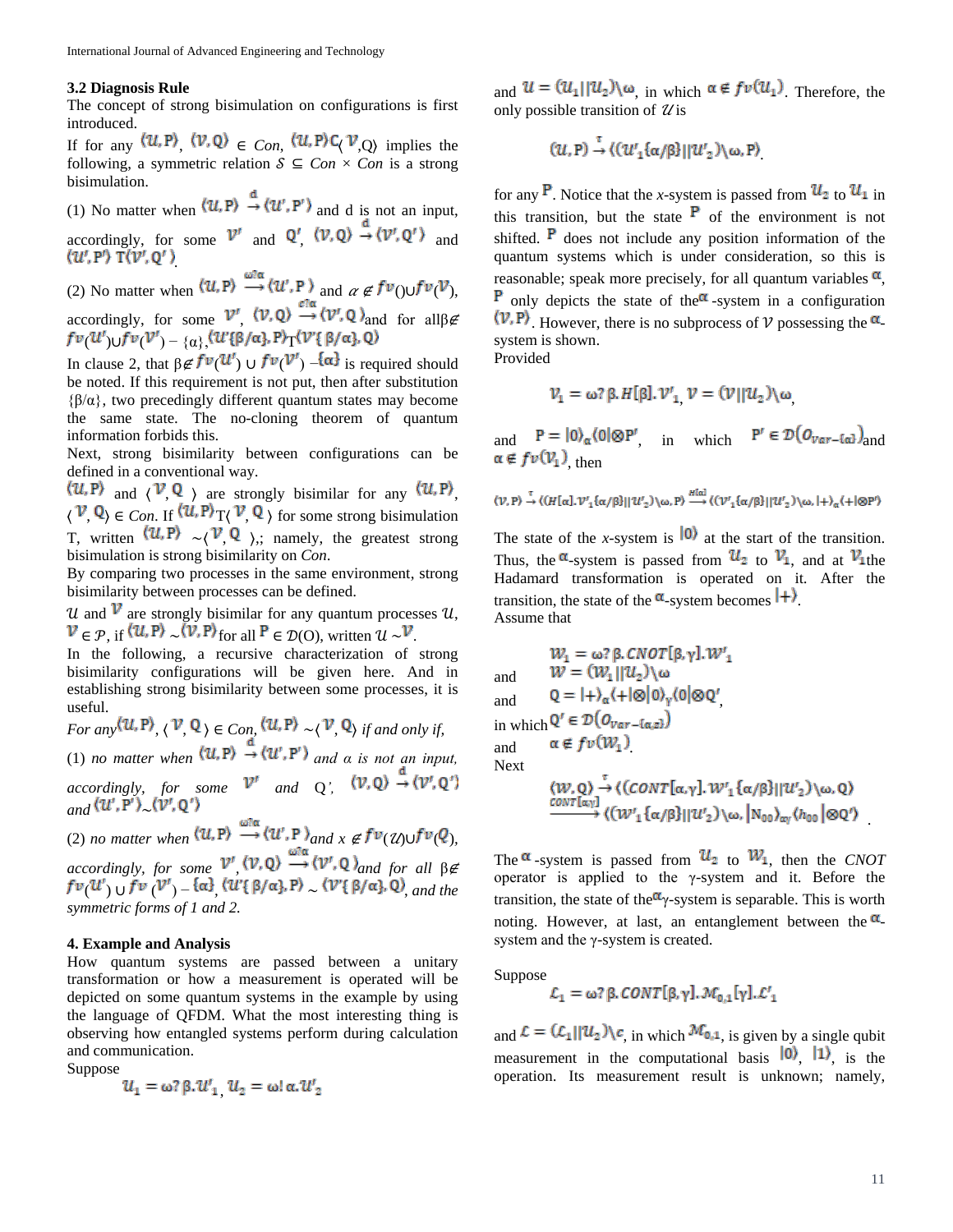#### **3.2 Diagnosis Rule**

The concept of strong bisimulation on configurations is first introduced.

If for any  $\langle U, P \rangle$ ,  $\langle V, Q \rangle \in Con$ ,  $\langle U, P \rangle C \langle V, Q \rangle$  implies the following, a symmetric relation  $S \subseteq Con \times Con$  is a strong bisimulation.

(1) No matter when  $(U, P) \stackrel{d}{\rightarrow} (U', P')$  and d is not an input, accordingly, for some  $V$  and  $Q'$ ,  $(V, Q) \rightarrow (V', Q')$  and *.*

(2) No matter when  $\langle U, P \rangle \stackrel{\omega \uparrow \alpha}{\longrightarrow} \langle U', P \rangle$  and  $\alpha \notin f^{\nu}(\cup f^{\nu}(\mathcal{V}),$ accordingly, for some  $V'$ ,  $(V,Q) \rightarrow (V',Q)$  and for all $\beta \notin$  $(\bm{u}^{\prime})$ ∪ $f^{\bm{v}}(\bm{V}^{\prime}) - \{\alpha\},$  ( $\bm{u}^{\prime}\}$ β/α}, Ρ) $_{\rm T}$ 

In clause 2, that  $\beta \notin f^{\nu}(U') \cup f^{\nu}(\mathcal{V}')$  –  $\{\alpha\}$  is required should be noted. If this requirement is not put, then after substitution  ${\beta/\alpha}$ , two precedingly different quantum states may become the same state. The no-cloning theorem of quantum information forbids this.

Next, strong bisimilarity between configurations can be defined in a conventional way.

and  $\langle V, Q \rangle$  are strongly bisimilar for any  $\langle U, P \rangle$ ,  $\langle V, Q \rangle \in$  *Con.* If  $\langle u, P \rangle$   $\Gamma(\langle V, Q \rangle)$  for some strong bisimulation T, written  $\langle U, P \rangle \sim \langle V, Q \rangle$ , namely, the greatest strong bisimulation is strong bisimilarity on *Con*.

By comparing two processes in the same environment, strong bisimilarity between processes can be defined.

U and  $\mathcal V$  are strongly bisimilar for any quantum processes U,  $V \in \mathcal{P}$ , if  $\langle U, P \rangle \sim \langle V, P \rangle$  for all  $P \in \mathcal{D}(\Omega)$ , written  $\mathcal{U} \sim V$ .

In the following, a recursive characterization of strong bisimilarity configurations will be given here. And in establishing strong bisimilarity between some processes, it is useful.

*For any*  $(U, P)$ ,  $(V, Q) \in Con$ ,  $(U, P) \sim (V, Q)$  *if and only if,* 

(1) *no matter when*  $(U, P) \rightarrow (U', P')$  *and a is not an input,* 

*accordingly, for some*  $v'$  *and*  $Q'$ ,  $\langle v, Q \rangle \xrightarrow{d} \langle v', Q' \rangle$  $_{and}$   $\langle u', v' \rangle$   $\langle v', q' \rangle$ 

(2) *no matter when*  $\langle U, P \rangle \stackrel{\omega \text{?} \alpha}{\longrightarrow} \langle U', P \rangle_{and \ X \notin \mathcal{F}^{\nu}(\mathcal{U}) \cup \mathcal{F}^{\nu}(\mathcal{Q}),$ 

*accordingly, for some*  $V'$  *(V, Q)*  $\rightarrow$   $(V', Q)$  *and for all*  $\beta \notin$  $f v \langle u' \rangle \cup f v \langle v' \rangle = \{\alpha\} \langle u' \{ \beta/\alpha \}, P \rangle$   $\langle v' \{ \beta/\alpha \}, Q \rangle$  and the *symmetric forms of 1 and 2.*

#### **4. Example and Analysis**

How quantum systems are passed between a unitary transformation or how a measurement is operated will be depicted on some quantum systems in the example by using the language of QFDM. What the most interesting thing is observing how entangled systems perform during calculation and communication.

Suppose

$$
u_1 = \omega_1 \beta_1 u_1 u_2 = \omega_1 \alpha_1 u_2
$$

and  $u = (u_1||u_2)\omega$ , in which  $\alpha \notin f(v(u_1))$ . Therefore, the only possible transition of  $\mathcal{U}$  is

$$
(u, \mathbf{P}) \stackrel{\tau}{\rightarrow} ((u'_1\{\alpha/\beta\}||u'_2)\setminus \omega, \mathbf{P})
$$

for any  $\mathbf{P}$ . Notice that the *x*-system is passed from  $\mathbf{u}_2$  to  $\mathbf{u}_1$  in this transition, but the state  $\overline{P}$  of the environment is not shifted.  $\overline{P}$  does not include any position information of the quantum systems which is under consideration, so this is reasonable; speak more precisely, for all quantum variables  $\alpha$ , **P** only depicts the state of the  $\alpha$ -system in a configuration  $(V, P)$ . However, there is no subprocess of V possessing the  $\alpha$ system is shown.

Provided

$$
V_1 = \omega? \beta. H[\beta]. V'_1, V = (V||\mathcal{U}_2) \setminus \omega
$$

and  $P = |0\rangle_{\alpha} \langle 0| \otimes P'$ , in which  $P' \in \mathcal{D}(O_{Var - \{\alpha\}})$  and  $\alpha \notin f v(\mathcal{V}_1)$  then

$$
\langle \mathcal{V}, P \rangle \stackrel{\tau}{\rightarrow} \langle (H[\alpha]. \mathcal{V}'_1\{\alpha/\beta\} || \mathcal{U}'_2) \backslash \omega, P \rangle \stackrel{H[\alpha]}{\longrightarrow} \langle (\mathcal{V}'_1\{\alpha/\beta\} || \mathcal{U}'_2) \backslash \omega, |+\rangle_{\alpha} \langle + |\otimes P' \rangle
$$

The state of the *x*-system is  $|0\rangle$  at the start of the transition. Thus, the  $\alpha$ -system is passed from  $\mathcal{U}_2$  to  $\mathcal{V}_1$ , and at  $\mathcal{V}_1$ the Hadamard transformation is operated on it. After the transition, the state of the  $\alpha$ -system becomes  $|+\rangle$ . Assume that

$$
W_1 = \omega? \beta. CNOT[\beta, \gamma].W'_1
$$
  
and 
$$
W = (W_1 || U_2) \setminus \omega
$$
  
and 
$$
Q = |+\rangle_{\alpha} \langle + |\otimes |0 \rangle_{\gamma} \langle 0| \otimes Q'
$$
  
in which  $Q' \in \mathcal{D}(O_{Var - \{\alpha, z\}})$   
and 
$$
\alpha \notin fv(W_1)
$$
  
Next  

$$
\langle W, Q \rangle \stackrel{\tau}{\rightarrow} \langle (CONT[\alpha, \gamma].W'_1 \{\alpha/\beta\} || U'_2) \setminus \omega, Q \rangle
$$

 $\overrightarrow{conv[\alpha_{V}]}$   $((\mathcal{W}'_{1}\{\alpha/\beta\}||\mathcal{U}'_{2})\_{\omega}, |N_{00}\rangle_{\alpha_{V}}\langle h_{00}|\otimes Q'\rangle$ The  $\alpha$ -system is passed from  $u_2$  to  $w_1$ , then the *CNOT* operator is applied to the γ-system and it. Before the

transition, the state of the  $\alpha_{\gamma}$ -system is separable. This is worth noting. However, at last, an entanglement between the  $\alpha$ system and the  $γ$ -system is created.

Suppose

$$
\mathcal{L}_1 = \omega? \beta. \mathit{CONT}[\beta, \gamma], \mathcal{M}_{0,1}[\gamma], \mathcal{L}_1'
$$

and  $\mathcal{L} = (\mathcal{L}_1 || \mathcal{U}_2) \backslash c$ , in which  $\mathcal{M}_{0,1}$ , is given by a single qubit measurement in the computational basis  $|0\rangle$ ,  $|1\rangle$ , is the operation. Its measurement result is unknown; namely,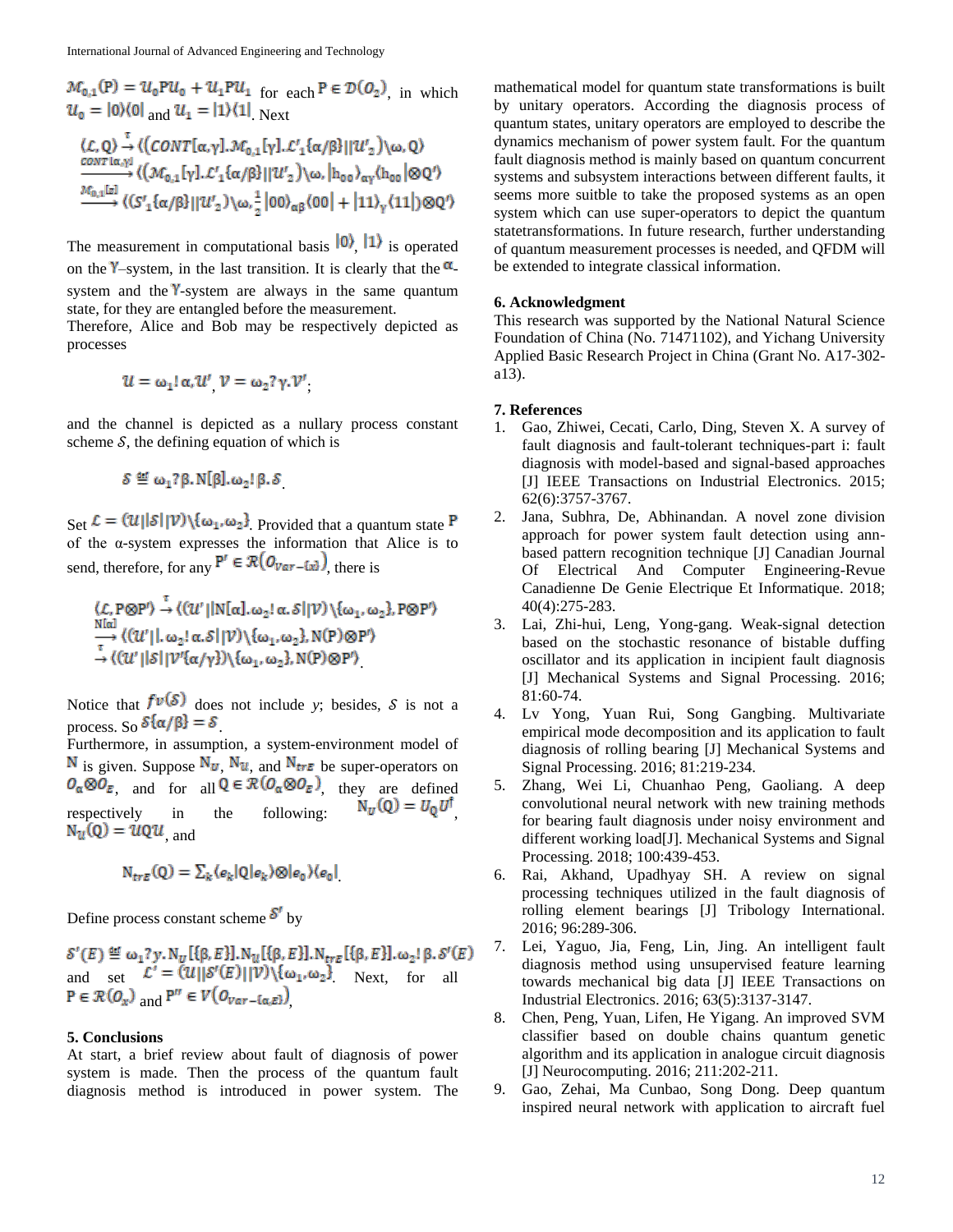$$
\mathcal{M}_{0,1}(P) = \mathcal{U}_0 P \mathcal{U}_0 + \mathcal{U}_1 P \mathcal{U}_1 \text{ for each } P \in \mathcal{D}(O_2), \text{ in which}
$$
  
\n
$$
\mathcal{U}_0 = |0\rangle\langle 0| \text{ and } \mathcal{U}_1 = |1\rangle\langle 1| \text{ Next}
$$
  
\n
$$
\langle \mathcal{L}, Q \rangle \rightarrow \langle \langle \mathcal{CONT}[\alpha, \gamma]. \mathcal{M}_{0,1}[\gamma]. \mathcal{L'}_1 \{\alpha/\beta\} || \mathcal{U'}_2 \rangle \setminus \omega, Q \rangle
$$
  
\n
$$
\xrightarrow{\mathcal{CONT}[\alpha, \gamma]} \langle \langle \mathcal{M}_{0,1}[\gamma]. \mathcal{L'}_1 \{\alpha/\beta\} || \mathcal{U'}_2 \rangle \setminus \omega, |h_{00} \rangle_{\alpha\gamma} \langle h_{00} | \otimes Q' \rangle
$$
  
\n
$$
\xrightarrow{\mathcal{M}_{0,1}[z]} \langle \langle S'_1 \{\alpha/\beta\} || \mathcal{U'}_2 \rangle \setminus \omega, \frac{1}{2} | 00 \rangle_{\alpha\beta} \langle 00 | + | 11 \rangle_{\gamma} \langle 11 | \rangle \otimes Q' \rangle
$$

The measurement in computational basis  $|0\rangle$ ,  $|1\rangle$  is operated on the  $\mathsf{Y}\text{-system}$ , in the last transition. It is clearly that the  $\alpha$ system and the  $Y$ -system are always in the same quantum state, for they are entangled before the measurement.

Therefore, Alice and Bob may be respectively depicted as processes

$$
\mathcal{U} = \omega_1! \alpha \mathcal{U}' \ \mathcal{V} = \omega_2? \gamma \mathcal{V}'
$$

and the channel is depicted as a nullary process constant scheme  $S$ , the defining equation of which is

$$
\mathcal{S} \stackrel{\text{\tiny def}}{=} \omega_1 ? \beta, N[\beta], \omega_2! \beta, \mathcal{S}
$$

Set  $\mathcal{L} = (u||\mathcal{S}||\mathcal{V})\{\omega_1, \omega_2\}$  Provided that a quantum state P of the α-system expresses the information that Alice is to send, therefore, for any  $P' \in \mathcal{R}(O_{Var} - \{x\})$ , there is

$$
\langle \mathcal{L}, P \otimes P' \rangle \stackrel{\tau}{\rightarrow} \langle (U' || N[\alpha], \omega_2; \alpha, \mathcal{S} || \mathcal{V}) \setminus {\{\omega_1, \omega_2\}}, P \otimes P' \rangle
$$
  
\n
$$
\stackrel{N[\alpha]}{\rightarrow} \langle (U' || \omega_2; \alpha, \mathcal{S} || \mathcal{V}) \setminus {\{\omega_1, \omega_2\}}, N(P) \otimes P' \rangle
$$
  
\n
$$
\stackrel{\tau}{\rightarrow} \langle (U' || \mathcal{S} || \mathcal{V}' {\{\alpha / \gamma\}} \rangle \setminus {\{\omega_1, \omega_2\}}, N(P) \otimes P' \rangle
$$

Notice that  $f\nu(\mathcal{S})$  does not include *y*; besides,  $\mathcal{S}$  is not a process. So  $\delta{\alpha/\beta} = \delta$ .

Furthermore, in assumption, a system-environment model of N is given. Suppose  $N_u$ ,  $N_u$ , and  $N_{trz}$  be super-operators on  $O_{\alpha} \otimes O_{E}$ , and for all  $Q \in \mathcal{R}(O_{\alpha} \otimes O_{E})$ , they are defined<br>respectively in the following:  $N_{U}(Q) = U_{0} U^{\dagger}$ respectively in the following:  $N_u(Q) = UQU$ <sub>and</sub>

$$
N_{trE}(Q) = \sum_{k} \langle e_k | Q | e_k \rangle \otimes |e_0 \rangle \langle e_0 |
$$

Define process constant scheme  $S'$  by

and set  $L = (u||\delta'(E)||V)\langle {\omega_1, \omega_2} \rangle$ . Next, for all and  $f^{\prime\prime} \in V(U_{Var - {\alpha, E}})$ ,

#### **5. Conclusions**

At start, a brief review about fault of diagnosis of power system is made. Then the process of the quantum fault diagnosis method is introduced in power system. The mathematical model for quantum state transformations is built by unitary operators. According the diagnosis process of quantum states, unitary operators are employed to describe the dynamics mechanism of power system fault. For the quantum fault diagnosis method is mainly based on quantum concurrent systems and subsystem interactions between different faults, it seems more suitble to take the proposed systems as an open system which can use super-operators to depict the quantum statetransformations. In future research, further understanding of quantum measurement processes is needed, and QFDM will be extended to integrate classical information.

#### **6. Acknowledgment**

This research was supported by the National Natural Science Foundation of China (No. 71471102), and Yichang University Applied Basic Research Project in China (Grant No. A17-302 a13).

#### **7. References**

- 1. Gao, Zhiwei, Cecati, Carlo, Ding, Steven X. A survey of fault diagnosis and fault-tolerant techniques-part i: fault diagnosis with model-based and signal-based approaches [J] IEEE Transactions on Industrial Electronics. 2015; 62(6):3757-3767.
- 2. Jana, Subhra, De, Abhinandan. A novel zone division approach for power system fault detection using annbased pattern recognition technique [J] Canadian Journal Of Electrical And Computer Engineering-Revue Canadienne De Genie Electrique Et Informatique. 2018; 40(4):275-283.
- 3. Lai, Zhi-hui, Leng, Yong-gang. Weak-signal detection based on the stochastic resonance of bistable duffing oscillator and its application in incipient fault diagnosis [J] Mechanical Systems and Signal Processing. 2016; 81:60-74.
- 4. Lv Yong, Yuan Rui, Song Gangbing. Multivariate empirical mode decomposition and its application to fault diagnosis of rolling bearing [J] Mechanical Systems and Signal Processing. 2016; 81:219-234.
- 5. Zhang, Wei Li, Chuanhao Peng, Gaoliang. A deep convolutional neural network with new training methods for bearing fault diagnosis under noisy environment and different working load[J]. Mechanical Systems and Signal Processing. 2018; 100:439-453.
- 6. Rai, Akhand, Upadhyay SH. A review on signal processing techniques utilized in the fault diagnosis of rolling element bearings [J] Tribology International. 2016; 96:289-306.
- 7. Lei, Yaguo, Jia, Feng, Lin, Jing. An intelligent fault diagnosis method using unsupervised feature learning towards mechanical big data [J] IEEE Transactions on Industrial Electronics. 2016; 63(5):3137-3147.
- 8. Chen, Peng, Yuan, Lifen, He Yigang. An improved SVM classifier based on double chains quantum genetic algorithm and its application in analogue circuit diagnosis [J] Neurocomputing. 2016; 211:202-211.
- 9. Gao, Zehai, Ma Cunbao, Song Dong. Deep quantum inspired neural network with application to aircraft fuel